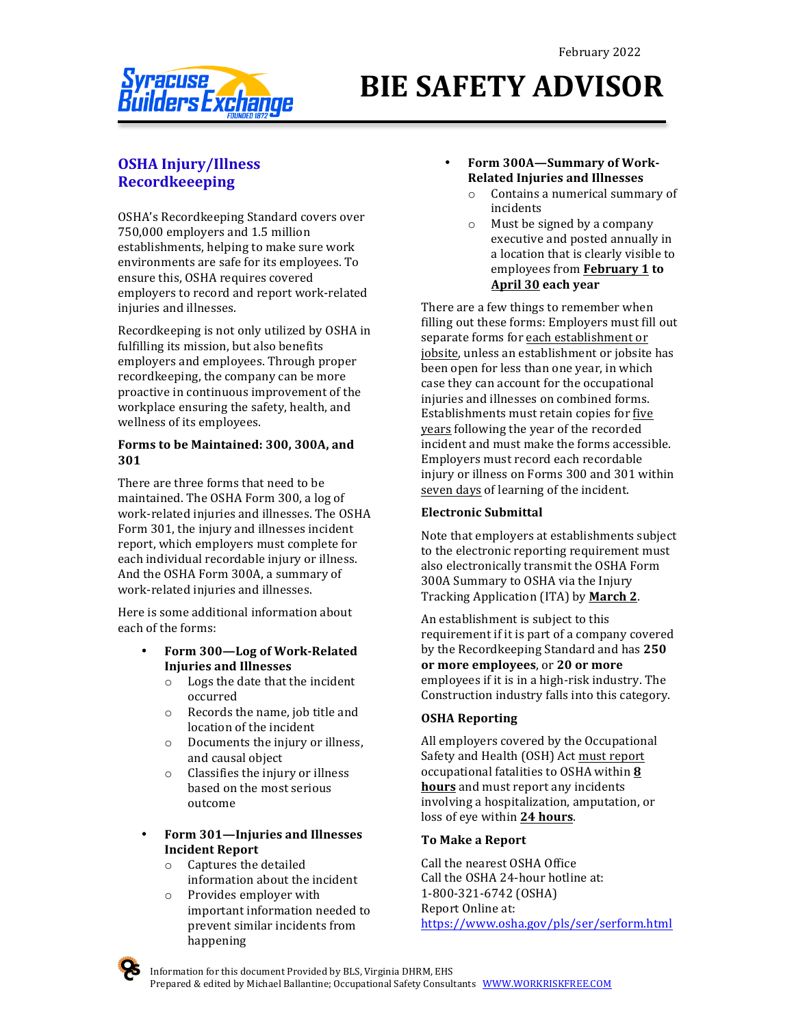

# **BIE SAFETY ADVISOR**

## **OSHA Injury/Illness Recordkeeeping**

OSHA's Recordkeeping Standard covers over 750,000 employers and 1.5 million establishments, helping to make sure work environments are safe for its employees. To ensure this, OSHA requires covered employers to record and report work-related injuries and illnesses.

Recordkeeping is not only utilized by OSHA in fulfilling its mission, but also benefits employers and employees. Through proper recordkeeping, the company can be more proactive in continuous improvement of the workplace ensuring the safety, health, and wellness of its employees.

#### **Forms to be Maintained: 300, 300A, and 301**

There are three forms that need to be maintained. The OSHA Form 300, a log of work-related injuries and illnesses. The OSHA Form 301, the injury and illnesses incident report, which employers must complete for each individual recordable injury or illness. And the OSHA Form 300A, a summary of work-related injuries and illnesses.

Here is some additional information about each of the forms:

- **Form 300—Log of Work-Related Injuries and Illnesses**
	- $\circ$  Logs the date that the incident occurred
	- $\circ$  Records the name, job title and location of the incident
	- $\circ$  Documents the injury or illness, and causal object
	- $\circ$  Classifies the injury or illness based on the most serious outcome
- **Form 301—Injuries and Illnesses Incident Report**
	- $\circ$  Captures the detailed information about the incident
	- $\circ$  Provides employer with important information needed to prevent similar incidents from happening

#### Form 300A-Summary of Work-**Related Injuries and Illnesses**

- $\circ$  Contains a numerical summary of incidents
- $\circ$  Must be signed by a company executive and posted annually in a location that is clearly visible to employees from **February 1 to April 30 each year**

There are a few things to remember when filling out these forms: Employers must fill out separate forms for each establishment or jobsite, unless an establishment or jobsite has been open for less than one year, in which case they can account for the occupational injuries and illnesses on combined forms. Establishments must retain copies for five years following the year of the recorded incident and must make the forms accessible. Employers must record each recordable injury or illness on Forms 300 and 301 within seven days of learning of the incident.

#### **Electronic Submittal**

Note that employers at establishments subject to the electronic reporting requirement must also electronically transmit the OSHA Form 300A Summary to OSHA via the Injury Tracking Application (ITA) by **March 2**.

An establishment is subject to this requirement if it is part of a company covered by the Recordkeeping Standard and has 250 or more employees, or 20 or more employees if it is in a high-risk industry. The Construction industry falls into this category.

#### **OSHA Reporting**

All employers covered by the Occupational Safety and Health (OSH) Act must report occupational fatalities to OSHA within 8 **hours** and must report any incidents involving a hospitalization, amputation, or loss of eye within 24 hours.

#### **To Make a Report**

Call the nearest OSHA Office Call the OSHA 24-hour hotline at: 1-800-321-6742 (OSHA) Report Online at: https://www.osha.gov/pls/ser/serform.html